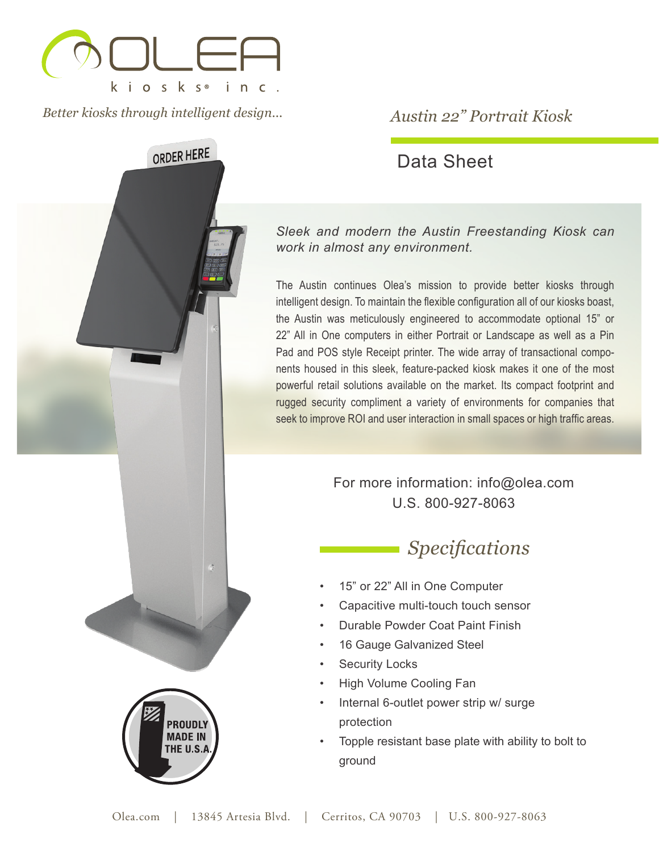

*Better kiosks through intelligent design...*

ORDER HERE

**PROUDLY MADE IN IE U.S.A** 

## *Austin 22" Portrait Kiosk*

## Data Sheet

*Sleek and modern the Austin Freestanding Kiosk can work in almost any environment.*

The Austin continues Olea's mission to provide better kiosks through intelligent design. To maintain the flexible configuration all of our kiosks boast, the Austin was meticulously engineered to accommodate optional 15" or 22" All in One computers in either Portrait or Landscape as well as a Pin Pad and POS style Receipt printer. The wide array of transactional components housed in this sleek, feature-packed kiosk makes it one of the most powerful retail solutions available on the market. Its compact footprint and rugged security compliment a variety of environments for companies that seek to improve ROI and user interaction in small spaces or high traffic areas.

> For more information: info@olea.com U.S. 800-927-8063

# *Specifications*

- 15" or 22" All in One Computer
- Capacitive multi-touch touch sensor
- Durable Powder Coat Paint Finish
- 16 Gauge Galvanized Steel
- **Security Locks**
- High Volume Cooling Fan
- Internal 6-outlet power strip w/ surge protection
- Topple resistant base plate with ability to bolt to ground